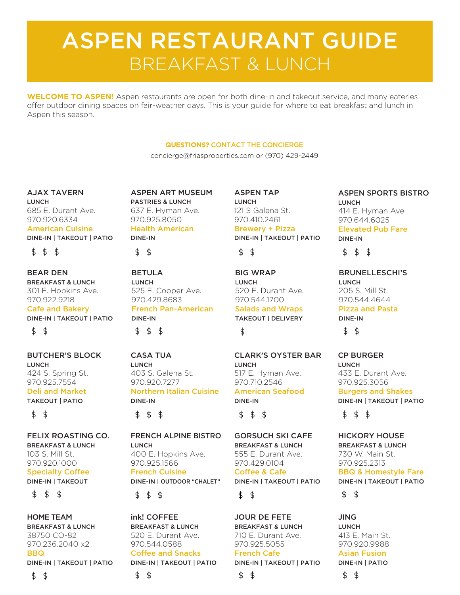# ASPEN RESTAURANT GUIDE BREAKFAST & LUNCH

**WELCOME TO ASPEN!** Aspen restaurants are open for both dine-in and takeout service, and many eateries offer outdoor dining spaces on fair-weather days. This is your guide for where to eat breakfast and lunch in Aspen this season.

#### **QUESTIONS?** CONTACT THE CONCIERGE

concierge@friasproperties.com or (970) 429-2449

AJAX TAVERN LUNCH 685 E. Durant Ave. 970.920.6334 American Cuisine

DINE-IN | TAKEOUT | PATIO

 $$ 5$  \$

BEAR DEN BREAKFAST & LUNCH 301 E. Hopkins Ave. 970.922.9218 Cafe and Bakery DINE-IN | TAKEOUT | PATIO  $$ 5$ 

BUTCHER'S BLOCK LUNCH 424 S. Spring St. 970.925.7554 Deli and Market

TAKEOUT | PATIO

 $$5$ 

FELIX ROASTING CO. BREAKFAST & LUNCH 103 S. Mill St. 970.920.1000 Specialty Coffee DINE-IN | TAKEOUT

\$

HOME TEAM BREAKFAST & LUNCH 38750 CO-82 970.236.2040 x2 **BBQ** DINE-IN | TAKEOUT | PATIO

ASPEN ART MUSEUM PASTRIES & LUNCH 637 E. Hyman Ave. 970.925.8050 Health American DINE-IN



BETULA LUNCH 525 E. Cooper Ave. 970.429.8683 French Pan-American DINE-IN  $$ 55$ 

CASA TUA LUNCH 403 S. Galena St. 970.920.7277 Northern Italian Cuisine DINE-IN

\$ \$\$

FRENCH ALPINE BISTRO LUNCH 400 E. Hopkins Ave. 970.925.1566 French Cuisine DINE-IN | OUTDOOR "CHALET"

 $\ddot{\mathcal{L}}$ \$\$

ink! COFFEE BREAKFAST & LUNCH 520 E. Durant Ave. 970.544.0588 Coffee and Snacks DINE-IN | TAKEOUT | PATIO

\$ \$

ASPEN TAP LUNCH 121 S Galena St. 970.410.2461 Brewery + Pizza

## DINE-IN | TAKEOUT | PATIO  $$ 5$

BIG WRAP LUNCH 520 E. Durant Ave. 970.544.1700 Salads and Wraps

TAKEOUT | DELIVERY \$

CLARK'S OYSTER BAR LUNCH 517 E. Hyman Ave. 970.710.2546 American Seafood DINE-IN

\$  $$5$ 

GORSUCH SKI CAFE BREAKFAST & LUNCH 555 E. Durant Ave. 970.429.0104 Coffee & Cafe DINE-IN | TAKEOUT | PATIO \$  $\ddot{\text{S}}$ 

JOUR DE FETE BREAKFAST & LUNCH 710 E. Durant Ave. 970.925.5055 French Cafe DINE-IN | TAKEOUT | PATIO

\$ \$ ASPEN SPORTS BISTRO LUNCH 414 E. Hyman Ave. 970.644.6025 Elevated Pub Fare DINE-IN

## $$55$

BRUNELLESCHI'S LUNCH 205 S. Mill St. 970.544.4644 Pizza and Pasta

DINE-IN  $$5$ 

CP BURGER LUNCH 433 E. Durant Ave. 970.925.3056 Burgers and Shakes

DINE-IN | TAKEOUT | PATIO

\$\$ \$

#### HICKORY HOUSE BREAKFAST & LUNCH 730 W. Main St. 970.925.2313 BBQ & Homestyle Fare DINE-IN | TAKEOUT | PATIO

\$  $\ddot{\mathbf{r}}$ 

JING LUNCH 413 E. Main St. 970.920.9988 Asian Fusion DINE-IN | PATIO

\$ \$